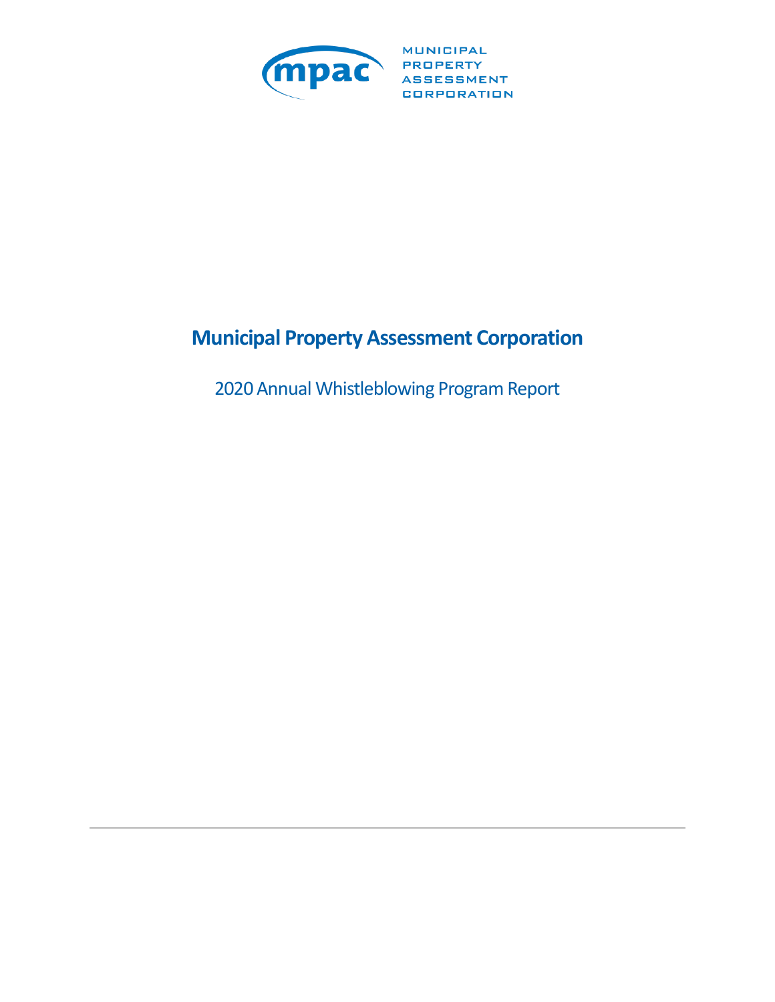

**MUNICIPAL** CORPORATION

# **Municipal Property Assessment Corporation**

2020 Annual Whistleblowing Program Report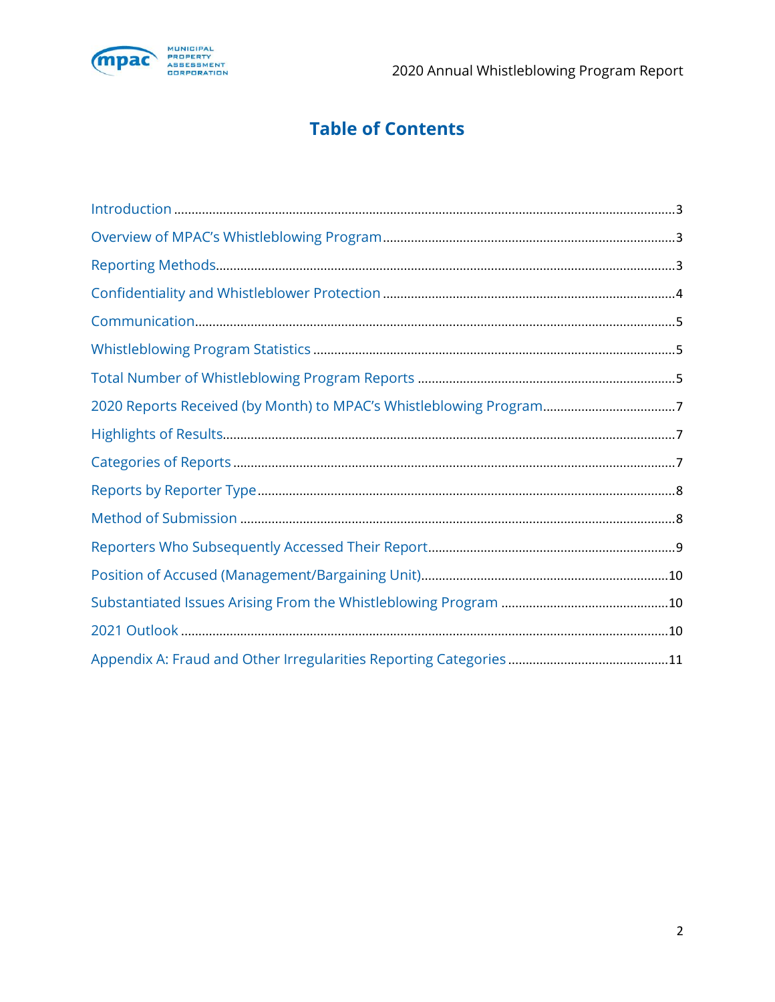

# **Table of Contents**

| 2020 Reports Received (by Month) to MPAC's Whistleblowing Program7 |
|--------------------------------------------------------------------|
|                                                                    |
|                                                                    |
|                                                                    |
|                                                                    |
|                                                                    |
|                                                                    |
|                                                                    |
|                                                                    |
|                                                                    |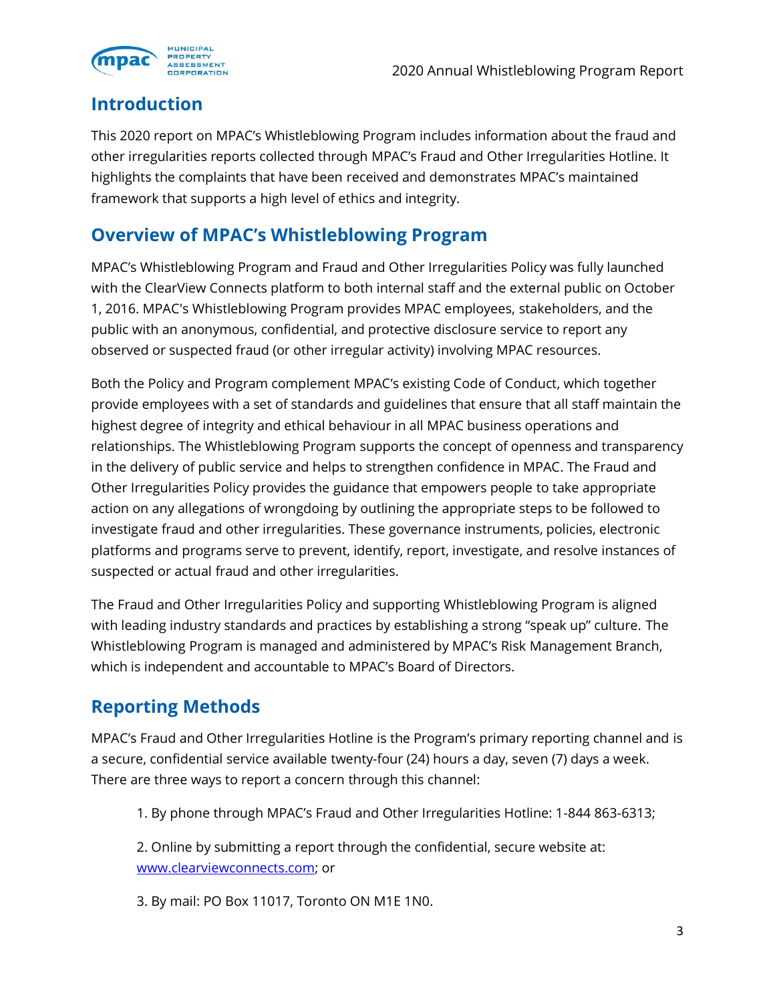

#### **Introduction**

This 2020 report on MPAC's Whistleblowing Program includes information about the fraud and other irregularities reports collected through MPAC's Fraud and Other Irregularities Hotline. It highlights the complaints that have been received and demonstrates MPAC's maintained framework that supports a high level of ethics and integrity.

## **Overview of MPAC's Whistleblowing Program**

MPAC's Whistleblowing Program and Fraud and Other Irregularities Policy was fully launched with the ClearView Connects platform to both internal staff and the external public on October 1, 2016. MPAC's Whistleblowing Program provides MPAC employees, stakeholders, and the public with an anonymous, confidential, and protective disclosure service to report any observed or suspected fraud (or other irregular activity) involving MPAC resources.

Both the Policy and Program complement MPAC's existing Code of Conduct, which together provide employees with a set of standards and guidelines that ensure that all staff maintain the highest degree of integrity and ethical behaviour in all MPAC business operations and relationships. The Whistleblowing Program supports the concept of openness and transparency in the delivery of public service and helps to strengthen confidence in MPAC. The Fraud and Other Irregularities Policy provides the guidance that empowers people to take appropriate action on any allegations of wrongdoing by outlining the appropriate steps to be followed to investigate fraud and other irregularities. These governance instruments, policies, electronic platforms and programs serve to prevent, identify, report, investigate, and resolve instances of suspected or actual fraud and other irregularities.

The Fraud and Other Irregularities Policy and supporting Whistleblowing Program is aligned with leading industry standards and practices by establishing a strong "speak up" culture. The Whistleblowing Program is managed and administered by MPAC's Risk Management Branch, which is independent and accountable to MPAC's Board of Directors.

## **Reporting Methods**

MPAC's Fraud and Other Irregularities Hotline is the Program's primary reporting channel and is a secure, confidential service available twenty-four (24) hours a day, seven (7) days a week. There are three ways to report a concern through this channel:

1. By phone through MPAC's Fraud and Other Irregularities Hotline: 1-844 863-6313;

2. Online by submitting a report through the confidential, secure website at: [www.clearviewconnects.com;](http://www.clearviewconnects.com/) or

3. By mail: PO Box 11017, Toronto ON M1E 1N0.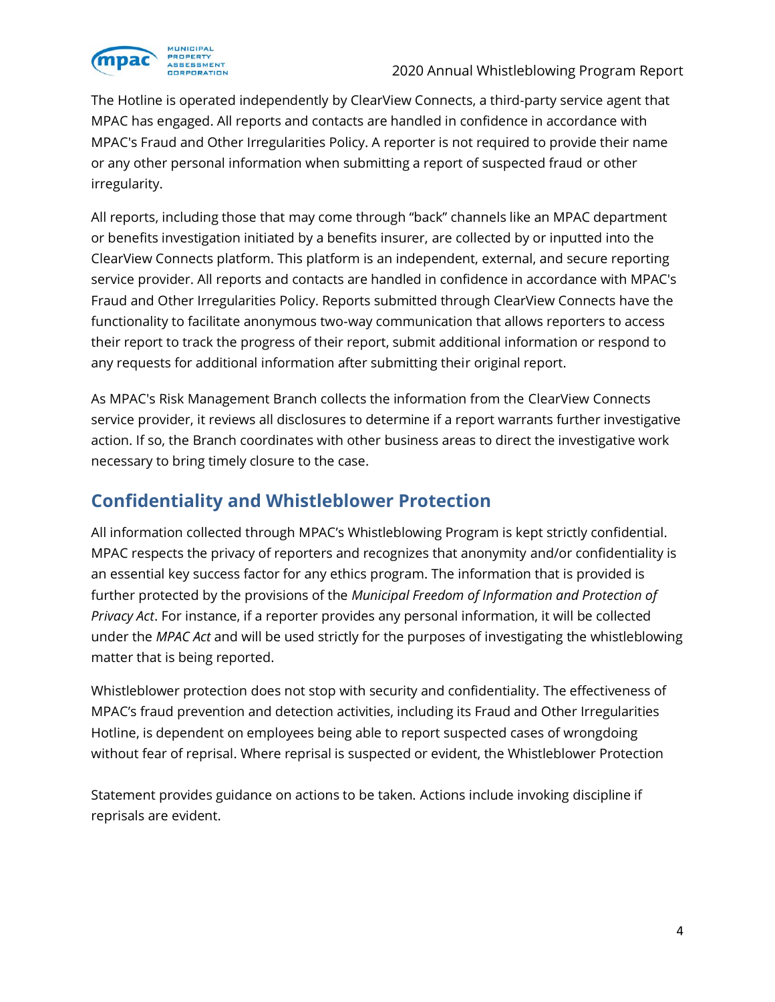

The Hotline is operated independently by ClearView Connects, a third-party service agent that MPAC has engaged. All reports and contacts are handled in confidence in accordance with MPAC's Fraud and Other Irregularities Policy. A reporter is not required to provide their name or any other personal information when submitting a report of suspected fraud or other irregularity.

All reports, including those that may come through "back" channels like an MPAC department or benefits investigation initiated by a benefits insurer, are collected by or inputted into the ClearView Connects platform. This platform is an independent, external, and secure reporting service provider. All reports and contacts are handled in confidence in accordance with MPAC's Fraud and Other Irregularities Policy. Reports submitted through ClearView Connects have the functionality to facilitate anonymous two-way communication that allows reporters to access their report to track the progress of their report, submit additional information or respond to any requests for additional information after submitting their original report.

As MPAC's Risk Management Branch collects the information from the ClearView Connects service provider, it reviews all disclosures to determine if a report warrants further investigative action. If so, the Branch coordinates with other business areas to direct the investigative work necessary to bring timely closure to the case.

## **Confidentiality and Whistleblower Protection**

All information collected through MPAC's Whistleblowing Program is kept strictly confidential. MPAC respects the privacy of reporters and recognizes that anonymity and/or confidentiality is an essential key success factor for any ethics program. The information that is provided is further protected by the provisions of the *Municipal Freedom of Information and Protection of Privacy Act*. For instance, if a reporter provides any personal information, it will be collected under the *MPAC Act* and will be used strictly for the purposes of investigating the whistleblowing matter that is being reported.

Whistleblower protection does not stop with security and confidentiality. The effectiveness of MPAC's fraud prevention and detection activities, including its Fraud and Other Irregularities Hotline, is dependent on employees being able to report suspected cases of wrongdoing without fear of reprisal. Where reprisal is suspected or evident, the Whistleblower Protection

Statement provides guidance on actions to be taken. Actions include invoking discipline if reprisals are evident.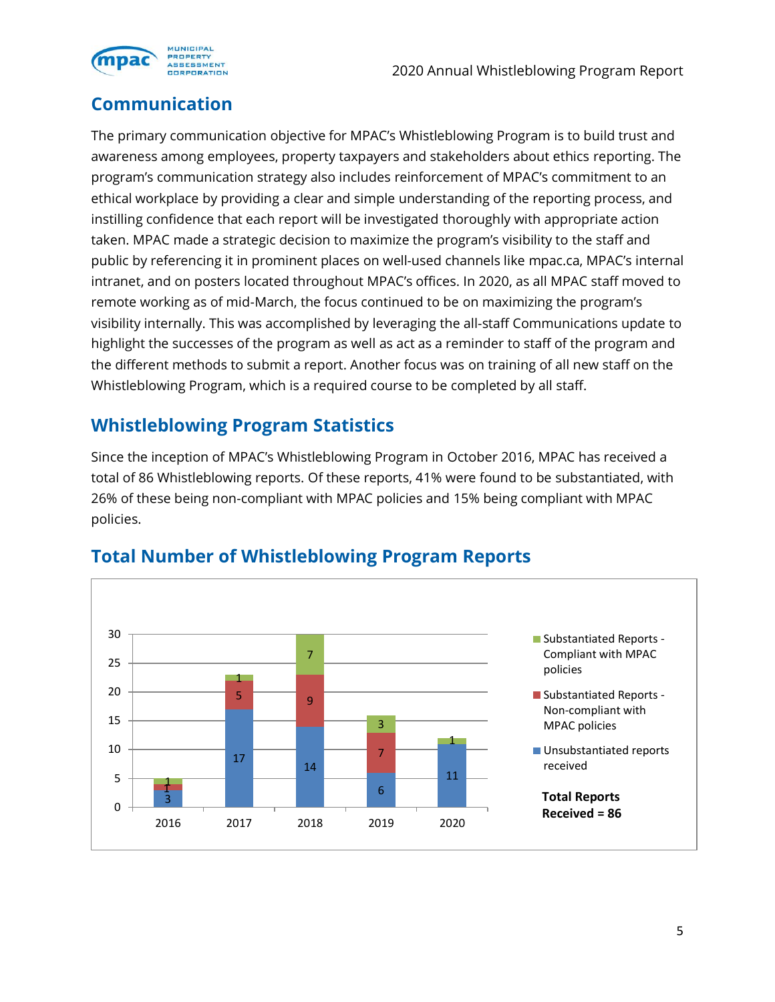

## **Communication**

The primary communication objective for MPAC's Whistleblowing Program is to build trust and awareness among employees, property taxpayers and stakeholders about ethics reporting. The program's communication strategy also includes reinforcement of MPAC's commitment to an ethical workplace by providing a clear and simple understanding of the reporting process, and instilling confidence that each report will be investigated thoroughly with appropriate action taken. MPAC made a strategic decision to maximize the program's visibility to the staff and public by referencing it in prominent places on well-used channels like mpac.ca, MPAC's internal intranet, and on posters located throughout MPAC's offices. In 2020, as all MPAC staff moved to remote working as of mid-March, the focus continued to be on maximizing the program's visibility internally. This was accomplished by leveraging the all-staff Communications update to highlight the successes of the program as well as act as a reminder to staff of the program and the different methods to submit a report. Another focus was on training of all new staff on the Whistleblowing Program, which is a required course to be completed by all staff.

#### **Whistleblowing Program Statistics**

Since the inception of MPAC's Whistleblowing Program in October 2016, MPAC has received a total of 86 Whistleblowing reports. Of these reports, 41% were found to be substantiated, with 26% of these being non-compliant with MPAC policies and 15% being compliant with MPAC policies.



#### **Total Number of Whistleblowing Program Reports**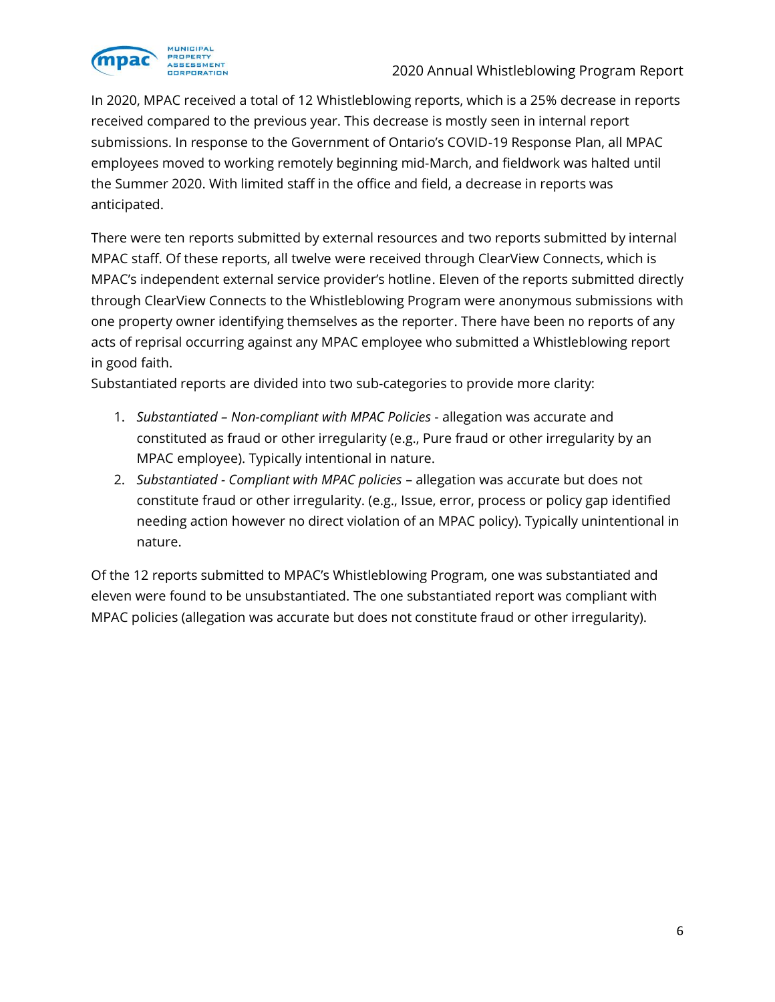

In 2020, MPAC received a total of 12 Whistleblowing reports, which is a 25% decrease in reports received compared to the previous year. This decrease is mostly seen in internal report submissions. In response to the Government of Ontario's COVID-19 Response Plan, all MPAC employees moved to working remotely beginning mid-March, and fieldwork was halted until the Summer 2020. With limited staff in the office and field, a decrease in reports was anticipated.

There were ten reports submitted by external resources and two reports submitted by internal MPAC staff. Of these reports, all twelve were received through ClearView Connects, which is MPAC's independent external service provider's hotline. Eleven of the reports submitted directly through ClearView Connects to the Whistleblowing Program were anonymous submissions with one property owner identifying themselves as the reporter. There have been no reports of any acts of reprisal occurring against any MPAC employee who submitted a Whistleblowing report in good faith.

Substantiated reports are divided into two sub-categories to provide more clarity:

- 1. *Substantiated – Non-compliant with MPAC Policies* allegation was accurate and constituted as fraud or other irregularity (e.g., Pure fraud or other irregularity by an MPAC employee). Typically intentional in nature.
- 2. *Substantiated Compliant with MPAC policies* allegation was accurate but does not constitute fraud or other irregularity. (e.g., Issue, error, process or policy gap identified needing action however no direct violation of an MPAC policy). Typically unintentional in nature.

Of the 12 reports submitted to MPAC's Whistleblowing Program, one was substantiated and eleven were found to be unsubstantiated. The one substantiated report was compliant with MPAC policies (allegation was accurate but does not constitute fraud or other irregularity).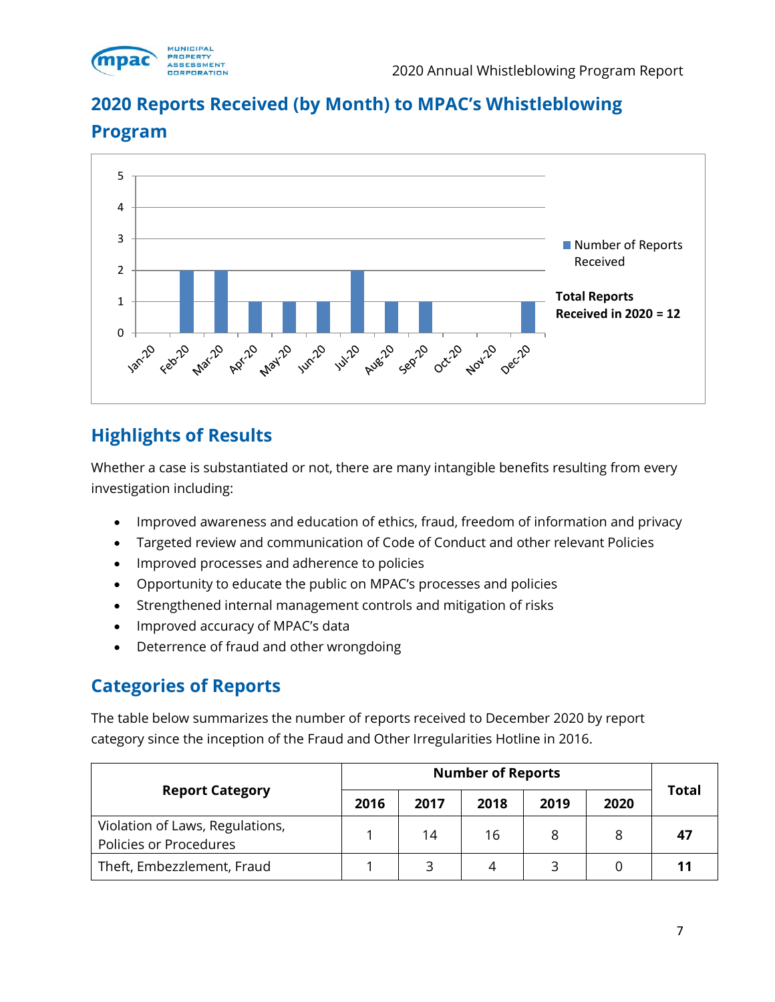

## **2020 Reports Received (by Month) to MPAC's Whistleblowing**



#### **Program**

## **Highlights of Results**

Whether a case is substantiated or not, there are many intangible benefits resulting from every investigation including:

- Improved awareness and education of ethics, fraud, freedom of information and privacy
- Targeted review and communication of Code of Conduct and other relevant Policies
- Improved processes and adherence to policies
- Opportunity to educate the public on MPAC's processes and policies
- Strengthened internal management controls and mitigation of risks
- Improved accuracy of MPAC's data
- Deterrence of fraud and other wrongdoing

#### **Categories of Reports**

The table below summarizes the number of reports received to December 2020 by report category since the inception of the Fraud and Other Irregularities Hotline in 2016.

| <b>Report Category</b>                                    | 2016 | 2017 | 2018 | 2019 | 2020 | <b>Total</b> |
|-----------------------------------------------------------|------|------|------|------|------|--------------|
| Violation of Laws, Regulations,<br>Policies or Procedures |      | 14   | 16   | 8    |      | 47           |
| Theft, Embezzlement, Fraud                                |      |      | 4    |      |      |              |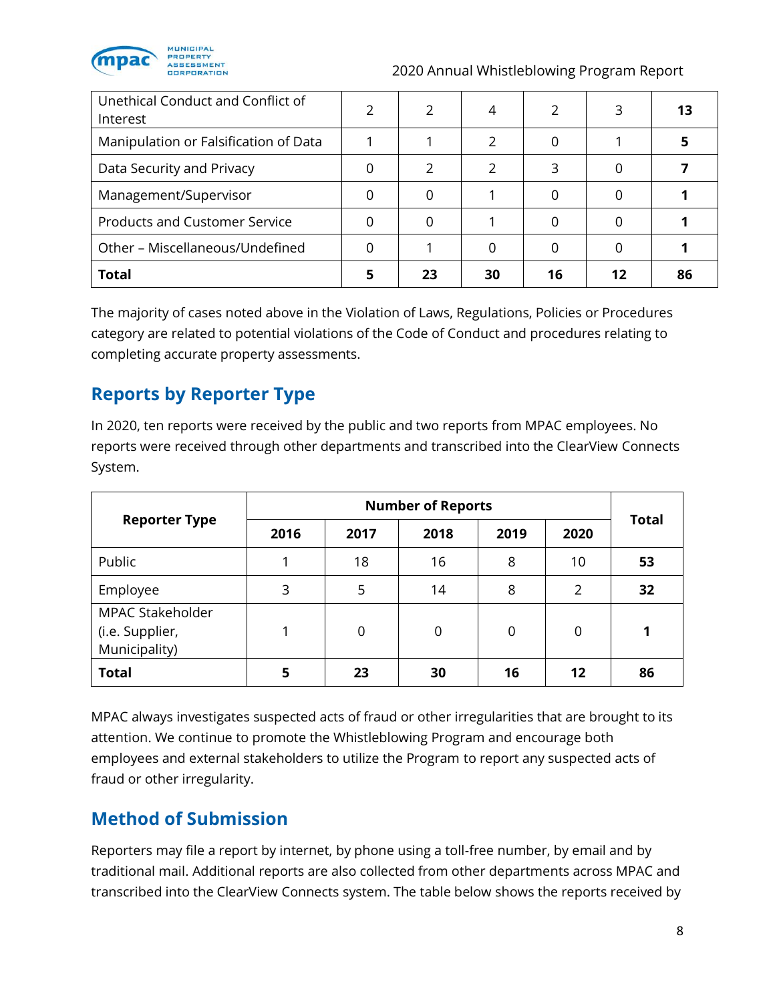

| Unethical Conduct and Conflict of<br>Interest |    |    |    | 13 |
|-----------------------------------------------|----|----|----|----|
| Manipulation or Falsification of Data         |    |    |    |    |
| Data Security and Privacy                     |    |    |    |    |
| Management/Supervisor                         |    |    |    |    |
| <b>Products and Customer Service</b>          |    |    |    |    |
| Other - Miscellaneous/Undefined               |    |    |    |    |
| <b>Total</b>                                  | 23 | 30 | 16 | 86 |

The majority of cases noted above in the Violation of Laws, Regulations, Policies or Procedures category are related to potential violations of the Code of Conduct and procedures relating to completing accurate property assessments.

## **Reports by Reporter Type**

In 2020, ten reports were received by the public and two reports from MPAC employees. No reports were received through other departments and transcribed into the ClearView Connects System.

| <b>Reporter Type</b>                                 | 2016 | 2017 | 2018     | 2019 | 2020              | <b>Total</b> |  |
|------------------------------------------------------|------|------|----------|------|-------------------|--------------|--|
| Public                                               | ◢    | 18   | 16       | 8    | 10                | 53           |  |
| Employee                                             | 3    | 5    | 14       | 8    | $\mathcal{P}$     | 32           |  |
| MPAC Stakeholder<br>(i.e. Supplier,<br>Municipality) | 1    | 0    | $\Omega$ | 0    | 0                 |              |  |
| <b>Total</b>                                         | 5    | 23   | 30       | 16   | $12 \overline{ }$ | 86           |  |

MPAC always investigates suspected acts of fraud or other irregularities that are brought to its attention. We continue to promote the Whistleblowing Program and encourage both employees and external stakeholders to utilize the Program to report any suspected acts of fraud or other irregularity.

## **Method of Submission**

Reporters may file a report by internet, by phone using a toll-free number, by email and by traditional mail. Additional reports are also collected from other departments across MPAC and transcribed into the ClearView Connects system. The table below shows the reports received by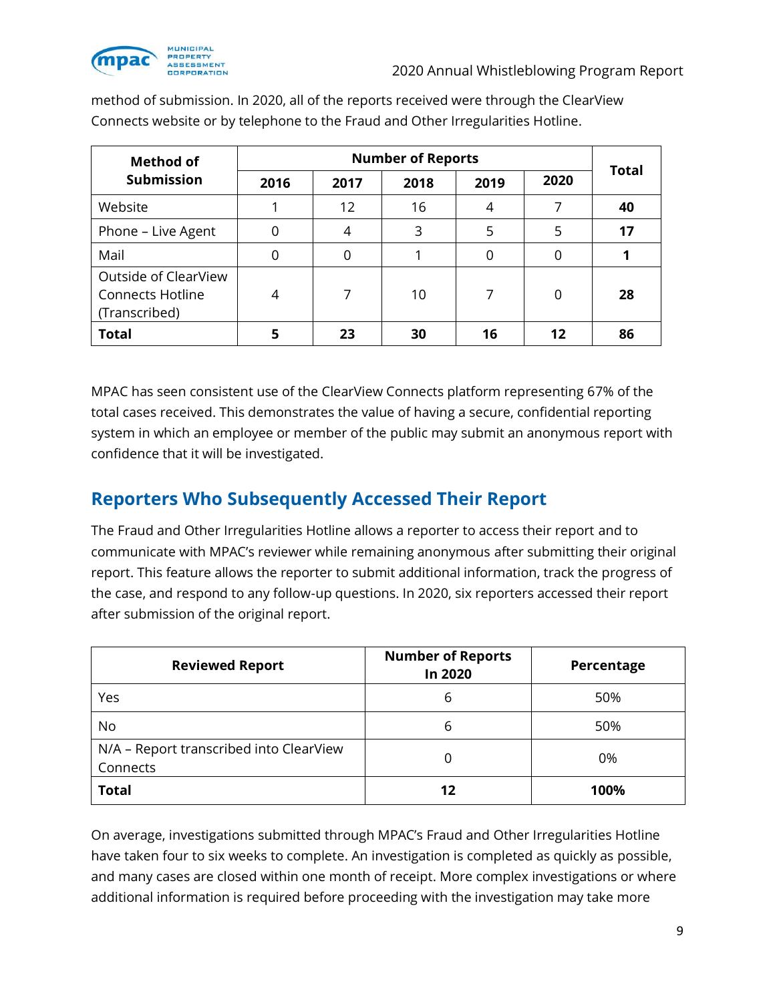

| <b>Method of</b>                                                 | <b>Number of Reports</b> |          |      |      |          | <b>Total</b> |
|------------------------------------------------------------------|--------------------------|----------|------|------|----------|--------------|
| <b>Submission</b>                                                | 2016                     | 2017     | 2018 | 2019 | 2020     |              |
| Website                                                          |                          | 12       | 16   | 4    |          | 40           |
| Phone - Live Agent                                               | 0                        | 4        | 3    | 5    | 5        | 17           |
| Mail                                                             | 0                        | $\Omega$ |      | 0    | 0        |              |
| Outside of ClearView<br><b>Connects Hotline</b><br>(Transcribed) | 4                        | 7        | 10   | 7    | $\Omega$ | 28           |
| <b>Total</b>                                                     | 5                        | 23       | 30   | 16   | 12       | 86           |

method of submission. In 2020, all of the reports received were through the ClearView Connects website or by telephone to the Fraud and Other Irregularities Hotline.

MPAC has seen consistent use of the ClearView Connects platform representing 67% of the total cases received. This demonstrates the value of having a secure, confidential reporting system in which an employee or member of the public may submit an anonymous report with confidence that it will be investigated.

#### **Reporters Who Subsequently Accessed Their Report**

The Fraud and Other Irregularities Hotline allows a reporter to access their report and to communicate with MPAC's reviewer while remaining anonymous after submitting their original report. This feature allows the reporter to submit additional information, track the progress of the case, and respond to any follow-up questions. In 2020, six reporters accessed their report after submission of the original report.

| <b>Reviewed Report</b>                              | <b>Number of Reports</b><br>In 2020 | Percentage |  |
|-----------------------------------------------------|-------------------------------------|------------|--|
| Yes                                                 | 6                                   | 50%        |  |
| No                                                  | 6                                   | 50%        |  |
| N/A - Report transcribed into ClearView<br>Connects | 0                                   | 0%         |  |
| <b>Total</b>                                        | 12                                  | 100%       |  |

On average, investigations submitted through MPAC's Fraud and Other Irregularities Hotline have taken four to six weeks to complete. An investigation is completed as quickly as possible, and many cases are closed within one month of receipt. More complex investigations or where additional information is required before proceeding with the investigation may take more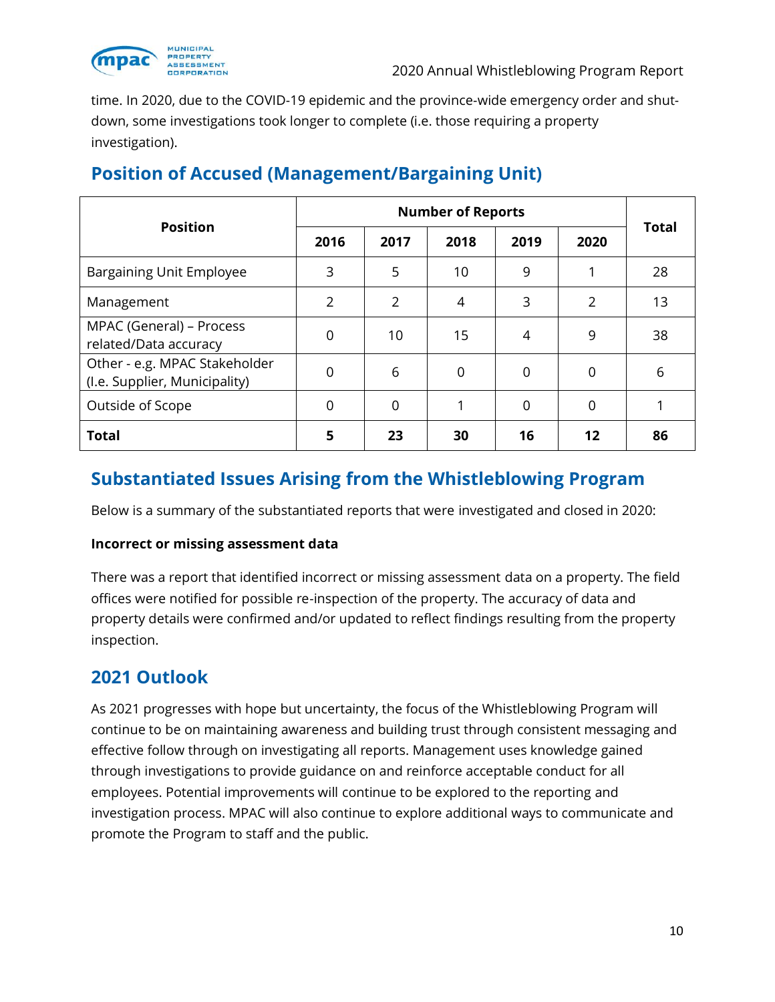

time. In 2020, due to the COVID-19 epidemic and the province-wide emergency order and shutdown, some investigations took longer to complete (i.e. those requiring a property investigation).

| <b>Position</b>                                                |                | <b>Total</b>   |      |             |                |    |
|----------------------------------------------------------------|----------------|----------------|------|-------------|----------------|----|
|                                                                | 2016           | 2017           | 2018 | 2019        | 2020           |    |
| Bargaining Unit Employee                                       | 3              | 5              | 10   | 9           |                | 28 |
| Management                                                     | $\overline{2}$ | $\overline{2}$ | 4    | 3           | $\overline{2}$ | 13 |
| MPAC (General) - Process<br>related/Data accuracy              | 0              | 10             | 15   | 4           | 9              | 38 |
| Other - e.g. MPAC Stakeholder<br>(I.e. Supplier, Municipality) | 0              | 6              | 0    | $\mathbf 0$ | 0              | 6  |
| Outside of Scope                                               | $\mathbf 0$    | 0              | 1    | $\mathbf 0$ | 0              |    |
| <b>Total</b>                                                   | 5              | 23             | 30   | 16          | 12             | 86 |

# **Position of Accused (Management/Bargaining Unit)**

#### **Substantiated Issues Arising from the Whistleblowing Program**

Below is a summary of the substantiated reports that were investigated and closed in 2020:

#### **Incorrect or missing assessment data**

There was a report that identified incorrect or missing assessment data on a property. The field offices were notified for possible re-inspection of the property. The accuracy of data and property details were confirmed and/or updated to reflect findings resulting from the property inspection.

#### **2021 Outlook**

As 2021 progresses with hope but uncertainty, the focus of the Whistleblowing Program will continue to be on maintaining awareness and building trust through consistent messaging and effective follow through on investigating all reports. Management uses knowledge gained through investigations to provide guidance on and reinforce acceptable conduct for all employees. Potential improvements will continue to be explored to the reporting and investigation process. MPAC will also continue to explore additional ways to communicate and promote the Program to staff and the public.